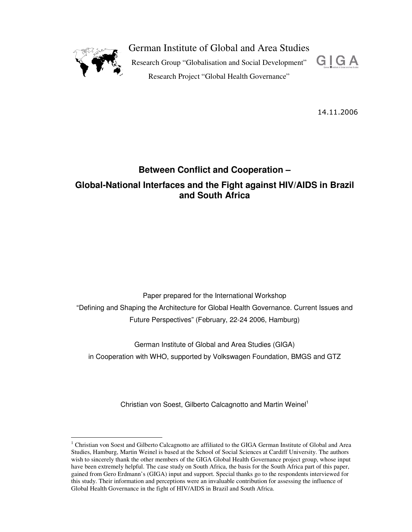

 $\overline{a}$ 

German Institute of Global and Area Studies

Research Group "Globalisation and Social Development" Research Project "Global Health Governance"



14.11.2006

# **Between Conflict and Cooperation –**

## **Global-National Interfaces and the Fight against HIV/AIDS in Brazil and South Africa**

Paper prepared for the International Workshop "Defining and Shaping the Architecture for Global Health Governance. Current Issues and Future Perspectives" (February, 22-24 2006, Hamburg)

German Institute of Global and Area Studies (GIGA) in Cooperation with WHO, supported by Volkswagen Foundation, BMGS and GTZ

Christian von Soest, Gilberto Calcagnotto and Martin Weinel<sup>1</sup>

<sup>&</sup>lt;sup>1</sup> Christian von Soest and Gilberto Calcagnotto are affiliated to the GIGA German Institute of Global and Area Studies, Hamburg, Martin Weinel is based at the School of Social Sciences at Cardiff University. The authors wish to sincerely thank the other members of the GIGA Global Health Governance project group, whose input have been extremely helpful. The case study on South Africa, the basis for the South Africa part of this paper, gained from Gero Erdmann's (GIGA) input and support. Special thanks go to the respondents interviewed for this study. Their information and perceptions were an invaluable contribution for assessing the influence of Global Health Governance in the fight of HIV/AIDS in Brazil and South Africa.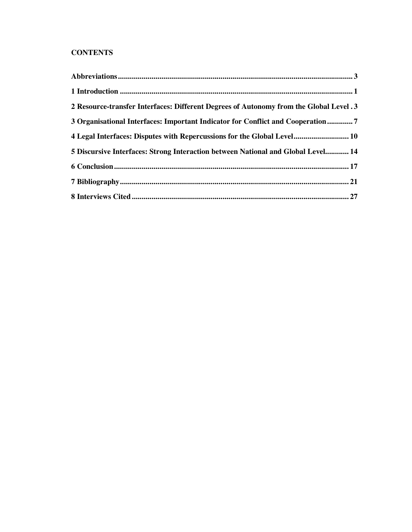## **CONTENTS**

| 2 Resource-transfer Interfaces: Different Degrees of Autonomy from the Global Level .3 |  |
|----------------------------------------------------------------------------------------|--|
| 3 Organisational Interfaces: Important Indicator for Conflict and Cooperation7         |  |
| 4 Legal Interfaces: Disputes with Repercussions for the Global Level 10                |  |
| 5 Discursive Interfaces: Strong Interaction between National and Global Level 14       |  |
|                                                                                        |  |
|                                                                                        |  |
|                                                                                        |  |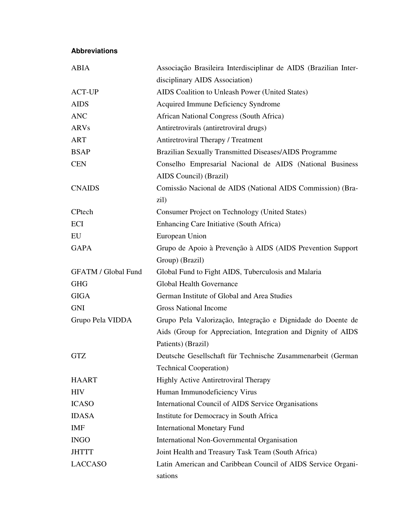## **Abbreviations**

| <b>ABIA</b>                | Associação Brasileira Interdisciplinar de AIDS (Brazilian Inter- |
|----------------------------|------------------------------------------------------------------|
|                            | disciplinary AIDS Association)                                   |
| <b>ACT-UP</b>              | AIDS Coalition to Unleash Power (United States)                  |
| <b>AIDS</b>                | <b>Acquired Immune Deficiency Syndrome</b>                       |
| <b>ANC</b>                 | African National Congress (South Africa)                         |
| <b>ARVs</b>                | Antiretrovirals (antiretroviral drugs)                           |
| ART                        | Antiretroviral Therapy / Treatment                               |
| <b>BSAP</b>                | Brazilian Sexually Transmitted Diseases/AIDS Programme           |
| <b>CEN</b>                 | Conselho Empresarial Nacional de AIDS (National Business         |
|                            | AIDS Council) (Brazil)                                           |
| <b>CNAIDS</b>              | Comissão Nacional de AIDS (National AIDS Commission) (Bra-       |
|                            | zil)                                                             |
| CPtech                     | Consumer Project on Technology (United States)                   |
| ECI                        | Enhancing Care Initiative (South Africa)                         |
| EU                         | European Union                                                   |
| <b>GAPA</b>                | Grupo de Apoio à Prevenção à AIDS (AIDS Prevention Support       |
|                            | Group) (Brazil)                                                  |
| <b>GFATM / Global Fund</b> | Global Fund to Fight AIDS, Tuberculosis and Malaria              |
| <b>GHG</b>                 | <b>Global Health Governance</b>                                  |
| <b>GIGA</b>                | German Institute of Global and Area Studies                      |
| <b>GNI</b>                 | <b>Gross National Income</b>                                     |
| Grupo Pela VIDDA           | Grupo Pela Valorização, Integração e Dignidade do Doente de      |
|                            | Aids (Group for Appreciation, Integration and Dignity of AIDS    |
|                            | Patients) (Brazil)                                               |
| <b>GTZ</b>                 | Deutsche Gesellschaft für Technische Zusammenarbeit (German      |
|                            | <b>Technical Cooperation</b> )                                   |
| <b>HAART</b>               | <b>Highly Active Antiretroviral Therapy</b>                      |
| <b>HIV</b>                 | Human Immunodeficiency Virus                                     |
| <b>ICASO</b>               | International Council of AIDS Service Organisations              |
| <b>IDASA</b>               | Institute for Democracy in South Africa                          |
| IMF                        | <b>International Monetary Fund</b>                               |
| <b>INGO</b>                | International Non-Governmental Organisation                      |
| <b>JHTTT</b>               | Joint Health and Treasury Task Team (South Africa)               |
| <b>LACCASO</b>             | Latin American and Caribbean Council of AIDS Service Organi-     |
|                            | sations                                                          |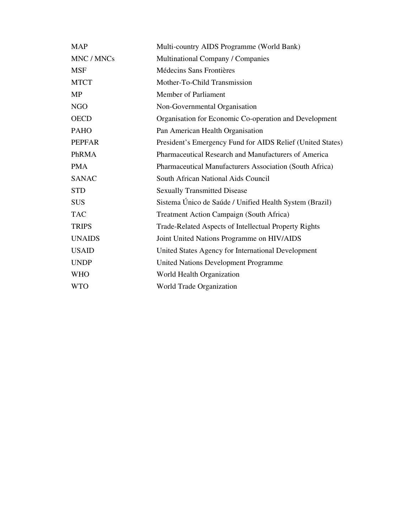| <b>MAP</b>    | Multi-country AIDS Programme (World Bank)                  |
|---------------|------------------------------------------------------------|
| MNC / MNCs    | Multinational Company / Companies                          |
| <b>MSF</b>    | Médecins Sans Frontières                                   |
| <b>MTCT</b>   | Mother-To-Child Transmission                               |
| <b>MP</b>     | Member of Parliament                                       |
| <b>NGO</b>    | Non-Governmental Organisation                              |
| <b>OECD</b>   | Organisation for Economic Co-operation and Development     |
| <b>PAHO</b>   | Pan American Health Organisation                           |
| <b>PEPFAR</b> | President's Emergency Fund for AIDS Relief (United States) |
| PhRMA         | Pharmaceutical Research and Manufacturers of America       |
| <b>PMA</b>    | Pharmaceutical Manufacturers Association (South Africa)    |
| <b>SANAC</b>  | South African National Aids Council                        |
| <b>STD</b>    | <b>Sexually Transmitted Disease</b>                        |
| <b>SUS</b>    | Sistema Único de Saúde / Unified Health System (Brazil)    |
| <b>TAC</b>    | Treatment Action Campaign (South Africa)                   |
| <b>TRIPS</b>  | Trade-Related Aspects of Intellectual Property Rights      |
| <b>UNAIDS</b> | Joint United Nations Programme on HIV/AIDS                 |
| <b>USAID</b>  | United States Agency for International Development         |
| <b>UNDP</b>   | <b>United Nations Development Programme</b>                |
| <b>WHO</b>    | World Health Organization                                  |
| <b>WTO</b>    | World Trade Organization                                   |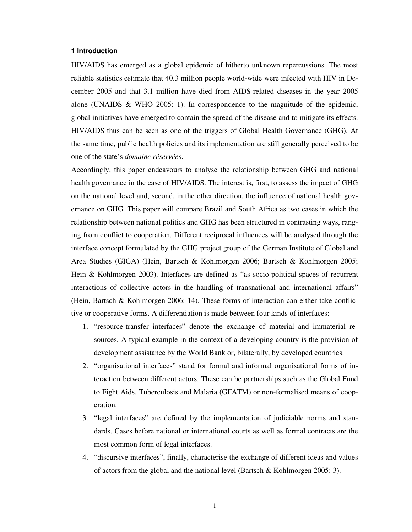#### **1 Introduction**

HIV/AIDS has emerged as a global epidemic of hitherto unknown repercussions. The most reliable statistics estimate that 40.3 million people world-wide were infected with HIV in December 2005 and that 3.1 million have died from AIDS-related diseases in the year 2005 alone (UNAIDS & WHO 2005: 1). In correspondence to the magnitude of the epidemic, global initiatives have emerged to contain the spread of the disease and to mitigate its effects. HIV/AIDS thus can be seen as one of the triggers of Global Health Governance (GHG). At the same time, public health policies and its implementation are still generally perceived to be one of the state's *domaine réservées*.

Accordingly, this paper endeavours to analyse the relationship between GHG and national health governance in the case of HIV/AIDS. The interest is, first, to assess the impact of GHG on the national level and, second, in the other direction, the influence of national health governance on GHG. This paper will compare Brazil and South Africa as two cases in which the relationship between national politics and GHG has been structured in contrasting ways, ranging from conflict to cooperation. Different reciprocal influences will be analysed through the interface concept formulated by the GHG project group of the German Institute of Global and Area Studies (GIGA) (Hein, Bartsch & Kohlmorgen 2006; Bartsch & Kohlmorgen 2005; Hein & Kohlmorgen 2003). Interfaces are defined as "as socio-political spaces of recurrent interactions of collective actors in the handling of transnational and international affairs" (Hein, Bartsch & Kohlmorgen 2006: 14). These forms of interaction can either take conflictive or cooperative forms. A differentiation is made between four kinds of interfaces:

- 1. "resource-transfer interfaces" denote the exchange of material and immaterial resources. A typical example in the context of a developing country is the provision of development assistance by the World Bank or, bilaterally, by developed countries.
- 2. "organisational interfaces" stand for formal and informal organisational forms of interaction between different actors. These can be partnerships such as the Global Fund to Fight Aids, Tuberculosis and Malaria (GFATM) or non-formalised means of cooperation.
- 3. "legal interfaces" are defined by the implementation of judiciable norms and standards. Cases before national or international courts as well as formal contracts are the most common form of legal interfaces.
- 4. "discursive interfaces", finally, characterise the exchange of different ideas and values of actors from the global and the national level (Bartsch & Kohlmorgen 2005: 3).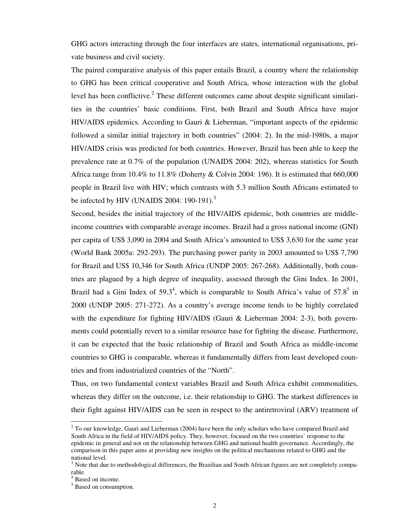GHG actors interacting through the four interfaces are states, international organisations, private business and civil society.

The paired comparative analysis of this paper entails Brazil, a country where the relationship to GHG has been critical cooperative and South Africa, whose interaction with the global level has been conflictive.<sup>2</sup> These different outcomes came about despite significant similarities in the countries' basic conditions. First, both Brazil and South Africa have major HIV/AIDS epidemics. According to Gauri & Lieberman, "important aspects of the epidemic followed a similar initial trajectory in both countries" (2004: 2). In the mid-1980s, a major HIV/AIDS crisis was predicted for both countries. However, Brazil has been able to keep the prevalence rate at 0.7% of the population (UNAIDS 2004: 202), whereas statistics for South Africa range from  $10.4\%$  to  $11.8\%$  (Doherty & Colvin 2004: 196). It is estimated that 660,000 people in Brazil live with HIV; which contrasts with 5.3 million South Africans estimated to be infected by HIV (UNAIDS 2004: 190-191).<sup>3</sup>

Second, besides the initial trajectory of the HIV/AIDS epidemic, both countries are middleincome countries with comparable average incomes. Brazil had a gross national income (GNI) per capita of US\$ 3,090 in 2004 and South Africa's amounted to US\$ 3,630 for the same year (World Bank 2005a: 292-293). The purchasing power parity in 2003 amounted to US\$ 7,790 for Brazil and US\$ 10,346 for South Africa (UNDP 2005: 267-268). Additionally, both countries are plagued by a high degree of inequality, assessed through the Gini Index. In 2001, Brazil had a Gini Index of  $59.3^4$ , which is comparable to South Africa's value of  $57.8^5$  in 2000 (UNDP 2005: 271-272). As a country's average income tends to be highly correlated with the expenditure for fighting HIV/AIDS (Gauri & Lieberman 2004: 2-3), both governments could potentially revert to a similar resource base for fighting the disease. Furthermore, it can be expected that the basic relationship of Brazil and South Africa as middle-income countries to GHG is comparable, whereas it fundamentally differs from least developed countries and from industrialized countries of the "North".

Thus, on two fundamental context variables Brazil and South Africa exhibit commonalities, whereas they differ on the outcome, i.e. their relationship to GHG. The starkest differences in their fight against HIV/AIDS can be seen in respect to the antiretroviral (ARV) treatment of

<sup>&</sup>lt;sup>2</sup> To our knowledge, Gauri and Lieberman (2004) have been the only scholars who have compared Brazil and South Africa in the field of HIV/AIDS policy. They, however, focused on the two countries' response to the epidemic in general and not on the relationship between GHG and national health governance. Accordingly, the comparison in this paper aims at providing new insights on the political mechanisms related to GHG and the national level.

 $3$  Note that due to methodological differences, the Brazilian and South African figures are not completely comparable.

<sup>4</sup> Based on income.

<sup>&</sup>lt;sup>5</sup> Based on consumption.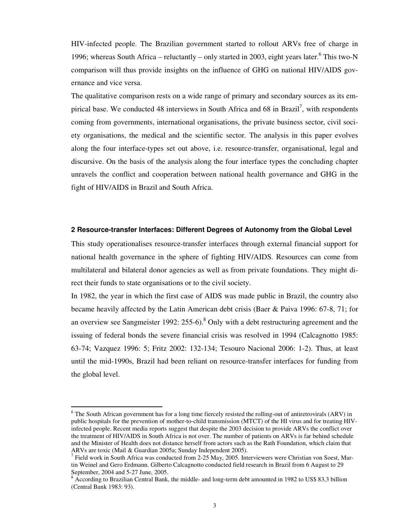HIV-infected people. The Brazilian government started to rollout ARVs free of charge in 1996; whereas South Africa – reluctantly – only started in 2003, eight years later. <sup>6</sup> This two-N comparison will thus provide insights on the influence of GHG on national HIV/AIDS governance and vice versa.

The qualitative comparison rests on a wide range of primary and secondary sources as its empirical base. We conducted 48 interviews in South Africa and 68 in Brazil<sup>7</sup>, with respondents coming from governments, international organisations, the private business sector, civil society organisations, the medical and the scientific sector. The analysis in this paper evolves along the four interface-types set out above, i.e. resource-transfer, organisational, legal and discursive. On the basis of the analysis along the four interface types the concluding chapter unravels the conflict and cooperation between national health governance and GHG in the fight of HIV/AIDS in Brazil and South Africa.

#### **2 Resource-transfer Interfaces: Different Degrees of Autonomy from the Global Level**

This study operationalises resource-transfer interfaces through external financial support for national health governance in the sphere of fighting HIV/AIDS. Resources can come from multilateral and bilateral donor agencies as well as from private foundations. They might direct their funds to state organisations or to the civil society.

In 1982, the year in which the first case of AIDS was made public in Brazil, the country also became heavily affected by the Latin American debt crisis (Baer & Paiva 1996: 67-8, 71; for an overview see Sangmeister 1992:  $255{\text{-}}6$ ).<sup>8</sup> Only with a debt restructuring agreement and the issuing of federal bonds the severe financial crisis was resolved in 1994 (Calcagnotto 1985: 63-74; Vazquez 1996: 5; Fritz 2002: 132-134; Tesouro Nacional 2006: 1-2). Thus, at least until the mid-1990s, Brazil had been reliant on resource-transfer interfaces for funding from the global level.

<sup>&</sup>lt;sup>6</sup> The South African government has for a long time fiercely resisted the rolling-out of antiretrovirals (ARV) in public hospitals for the prevention of mother-to-child transmission (MTCT) of the HI virus and for treating HIVinfected people. Recent media reports suggest that despite the 2003 decision to provide ARVs the conflict over the treatment of HIV/AIDS in South Africa is not over. The number of patients on ARVs is far behind schedule and the Minister of Health does not distance herself from actors such as the Rath Foundation, which claim that ARVs are toxic (Mail & Guardian 2005a; Sunday Independent 2005).

<sup>&</sup>lt;sup>7</sup> Field work in South Africa was conducted from 2-25 May, 2005. Interviewers were Christian von Soest, Martin Weinel and Gero Erdmann. Gilberto Calcagnotto conducted field research in Brazil from 6 August to 29 September, 2004 and 5-27 June, 2005.

<sup>&</sup>lt;sup>8</sup> According to Brazilian Central Bank, the middle- and long-term debt amounted in 1982 to US\$ 83,3 billion (Central Bank 1983: 93).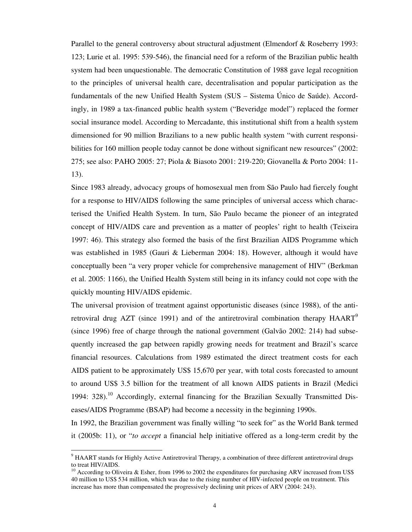Parallel to the general controversy about structural adjustment (Elmendorf & Roseberry 1993: 123; Lurie et al. 1995: 539-546), the financial need for a reform of the Brazilian public health system had been unquestionable. The democratic Constitution of 1988 gave legal recognition to the principles of universal health care, decentralisation and popular participation as the fundamentals of the new Unified Health System (SUS – Sistema Único de Saúde). Accordingly, in 1989 a tax-financed public health system ("Beveridge model") replaced the former social insurance model. According to Mercadante, this institutional shift from a health system dimensioned for 90 million Brazilians to a new public health system "with current responsibilities for 160 million people today cannot be done without significant new resources" (2002: 275; see also: PAHO 2005: 27; Piola & Biasoto 2001: 219-220; Giovanella & Porto 2004: 11- 13).

Since 1983 already, advocacy groups of homosexual men from São Paulo had fiercely fought for a response to HIV/AIDS following the same principles of universal access which characterised the Unified Health System. In turn, São Paulo became the pioneer of an integrated concept of HIV/AIDS care and prevention as a matter of peoples' right to health (Teixeira 1997: 46). This strategy also formed the basis of the first Brazilian AIDS Programme which was established in 1985 (Gauri & Lieberman 2004: 18). However, although it would have conceptually been "a very proper vehicle for comprehensive management of HIV" (Berkman et al. 2005: 1166), the Unified Health System still being in its infancy could not cope with the quickly mounting HIV/AIDS epidemic.

The universal provision of treatment against opportunistic diseases (since 1988), of the antiretroviral drug AZT (since 1991) and of the antiretroviral combination therapy HAART<sup>9</sup> (since 1996) free of charge through the national government (Galvão 2002: 214) had subsequently increased the gap between rapidly growing needs for treatment and Brazil's scarce financial resources. Calculations from 1989 estimated the direct treatment costs for each AIDS patient to be approximately US\$ 15,670 per year, with total costs forecasted to amount to around US\$ 3.5 billion for the treatment of all known AIDS patients in Brazil (Medici 1994: 328).<sup>10</sup> Accordingly, external financing for the Brazilian Sexually Transmitted Diseases/AIDS Programme (BSAP) had become a necessity in the beginning 1990s.

In 1992, the Brazilian government was finally willing "to seek for" as the World Bank termed it (2005b: 11), or "*to accept* a financial help initiative offered as a long-term credit by the

<sup>&</sup>lt;sup>9</sup> HAART stands for Highly Active Antiretroviral Therapy, a combination of three different antiretroviral drugs to treat HIV/AIDS.

<sup>&</sup>lt;sup>10</sup> According to Oliveira & Esher, from 1996 to 2002 the expenditures for purchasing ARV increased from US\$ 40 million to US\$ 534 million, which was due to the rising number of HIV-infected people on treatment. This increase has more than compensated the progressively declining unit prices of ARV (2004: 243).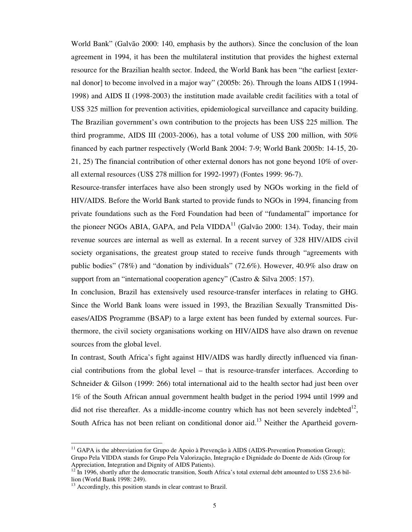World Bank" (Galvão 2000: 140, emphasis by the authors). Since the conclusion of the loan agreement in 1994, it has been the multilateral institution that provides the highest external resource for the Brazilian health sector. Indeed, the World Bank has been "the earliest [external donor] to become involved in a major way" (2005b: 26). Through the loans AIDS I (1994- 1998) and AIDS II (1998-2003) the institution made available credit facilities with a total of US\$ 325 million for prevention activities, epidemiological surveillance and capacity building. The Brazilian government's own contribution to the projects has been US\$ 225 million. The third programme, AIDS III (2003-2006), has a total volume of US\$ 200 million, with 50% financed by each partner respectively (World Bank 2004: 7-9; World Bank 2005b: 14-15, 20- 21, 25) The financial contribution of other external donors has not gone beyond 10% of overall external resources (US\$ 278 million for 1992-1997) (Fontes 1999: 96-7).

Resource-transfer interfaces have also been strongly used by NGOs working in the field of HIV/AIDS. Before the World Bank started to provide funds to NGOs in 1994, financing from private foundations such as the Ford Foundation had been of "fundamental" importance for the pioneer NGOs ABIA, GAPA, and Pela VIDDA $^{11}$  (Galvão 2000: 134). Today, their main revenue sources are internal as well as external. In a recent survey of 328 HIV/AIDS civil society organisations, the greatest group stated to receive funds through "agreements with public bodies" (78%) and "donation by individuals" (72.6%). However, 40.9% also draw on support from an "international cooperation agency" (Castro & Silva 2005: 157).

In conclusion, Brazil has extensively used resource-transfer interfaces in relating to GHG. Since the World Bank loans were issued in 1993, the Brazilian Sexually Transmitted Diseases/AIDS Programme (BSAP) to a large extent has been funded by external sources. Furthermore, the civil society organisations working on HIV/AIDS have also drawn on revenue sources from the global level.

In contrast, South Africa's fight against HIV/AIDS was hardly directly influenced via financial contributions from the global level – that is resource-transfer interfaces. According to Schneider & Gilson (1999: 266) total international aid to the health sector had just been over 1% of the South African annual government health budget in the period 1994 until 1999 and did not rise thereafter. As a middle-income country which has not been severely indebted $^{12}$ , South Africa has not been reliant on conditional donor aid.<sup>13</sup> Neither the Apartheid govern-

<sup>&</sup>lt;sup>11</sup> GAPA is the abbreviation for Grupo de Apoio à Prevenção à AIDS (AIDS-Prevention Promotion Group); Grupo Pela VIDDA stands for Grupo Pela Valorização, Integração e Dignidade do Doente de Aids (Group for Appreciation, Integration and Dignity of AIDS Patients).

 $^{12}$  In 1996, shortly after the democratic transition, South Africa's total external debt amounted to US\$ 23.6 billion (World Bank 1998: 249).

<sup>&</sup>lt;sup>13</sup> Accordingly, this position stands in clear contrast to Brazil.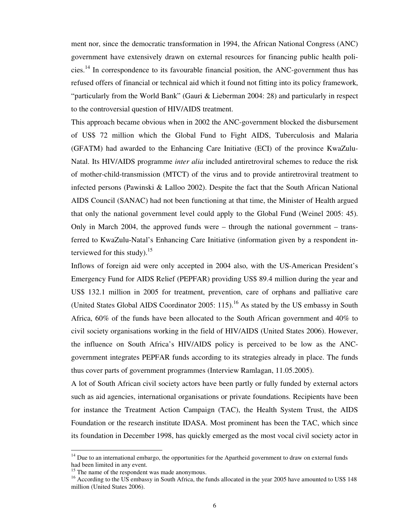ment nor, since the democratic transformation in 1994, the African National Congress (ANC) government have extensively drawn on external resources for financing public health policies.<sup>14</sup> In correspondence to its favourable financial position, the ANC-government thus has refused offers of financial or technical aid which it found not fitting into its policy framework, "particularly from the World Bank" (Gauri & Lieberman 2004: 28) and particularly in respect to the controversial question of HIV/AIDS treatment.

This approach became obvious when in 2002 the ANC-government blocked the disbursement of US\$ 72 million which the Global Fund to Fight AIDS, Tuberculosis and Malaria (GFATM) had awarded to the Enhancing Care Initiative (ECI) of the province KwaZulu-Natal. Its HIV/AIDS programme *inter alia* included antiretroviral schemes to reduce the risk of mother-child-transmission (MTCT) of the virus and to provide antiretroviral treatment to infected persons (Pawinski & Lalloo 2002). Despite the fact that the South African National AIDS Council (SANAC) had not been functioning at that time, the Minister of Health argued that only the national government level could apply to the Global Fund (Weinel 2005: 45). Only in March 2004, the approved funds were – through the national government – transferred to KwaZulu-Natal's Enhancing Care Initiative (information given by a respondent interviewed for this study). $15$ 

Inflows of foreign aid were only accepted in 2004 also, with the US-American President's Emergency Fund for AIDS Relief (PEPFAR) providing US\$ 89.4 million during the year and US\$ 132.1 million in 2005 for treatment, prevention, care of orphans and palliative care (United States Global AIDS Coordinator 2005: 115).<sup>16</sup> As stated by the US embassy in South Africa, 60% of the funds have been allocated to the South African government and 40% to civil society organisations working in the field of HIV/AIDS (United States 2006). However, the influence on South Africa's HIV/AIDS policy is perceived to be low as the ANCgovernment integrates PEPFAR funds according to its strategies already in place. The funds thus cover parts of government programmes (Interview Ramlagan, 11.05.2005).

A lot of South African civil society actors have been partly or fully funded by external actors such as aid agencies, international organisations or private foundations. Recipients have been for instance the Treatment Action Campaign (TAC), the Health System Trust, the AIDS Foundation or the research institute IDASA. Most prominent has been the TAC, which since its foundation in December 1998, has quickly emerged as the most vocal civil society actor in

<sup>&</sup>lt;sup>14</sup> Due to an international embargo, the opportunities for the Apartheid government to draw on external funds had been limited in any event.

<sup>&</sup>lt;sup>15</sup> The name of the respondent was made anonymous.

<sup>&</sup>lt;sup>16</sup> According to the US embassy in South Africa, the funds allocated in the year 2005 have amounted to US\$ 148 million (United States 2006).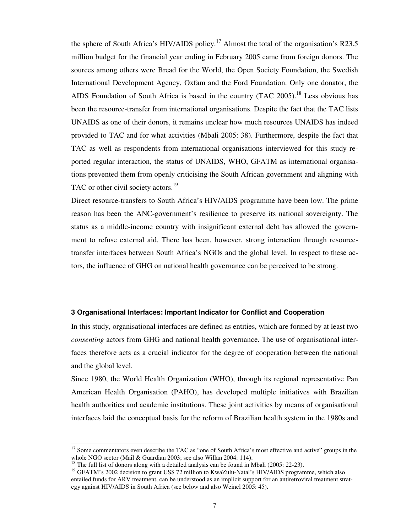the sphere of South Africa's HIV/AIDS policy.<sup>17</sup> Almost the total of the organisation's R23.5 million budget for the financial year ending in February 2005 came from foreign donors. The sources among others were Bread for the World, the Open Society Foundation, the Swedish International Development Agency, Oxfam and the Ford Foundation. Only one donator, the AIDS Foundation of South Africa is based in the country (TAC 2005).<sup>18</sup> Less obvious has been the resource-transfer from international organisations. Despite the fact that the TAC lists UNAIDS as one of their donors, it remains unclear how much resources UNAIDS has indeed provided to TAC and for what activities (Mbali 2005: 38). Furthermore, despite the fact that TAC as well as respondents from international organisations interviewed for this study reported regular interaction, the status of UNAIDS, WHO, GFATM as international organisations prevented them from openly criticising the South African government and aligning with TAC or other civil society actors.<sup>19</sup>

Direct resource-transfers to South Africa's HIV/AIDS programme have been low. The prime reason has been the ANC-government's resilience to preserve its national sovereignty. The status as a middle-income country with insignificant external debt has allowed the government to refuse external aid. There has been, however, strong interaction through resourcetransfer interfaces between South Africa's NGOs and the global level. In respect to these actors, the influence of GHG on national health governance can be perceived to be strong.

#### **3 Organisational Interfaces: Important Indicator for Conflict and Cooperation**

In this study, organisational interfaces are defined as entities, which are formed by at least two *consenting* actors from GHG and national health governance. The use of organisational interfaces therefore acts as a crucial indicator for the degree of cooperation between the national and the global level.

Since 1980, the World Health Organization (WHO), through its regional representative Pan American Health Organisation (PAHO), has developed multiple initiatives with Brazilian health authorities and academic institutions. These joint activities by means of organisational interfaces laid the conceptual basis for the reform of Brazilian health system in the 1980s and

<sup>&</sup>lt;sup>17</sup> Some commentators even describe the TAC as "one of South Africa's most effective and active" groups in the whole NGO sector (Mail & Guardian 2003; see also Willan 2004: 114).

<sup>&</sup>lt;sup>18</sup> The full list of donors along with a detailed analysis can be found in Mbali (2005: 22-23).

<sup>&</sup>lt;sup>19</sup> GFATM's 2002 decision to grant US\$ 72 million to KwaZulu-Natal's HIV/AIDS programme, which also entailed funds for ARV treatment, can be understood as an implicit support for an antiretroviral treatment strategy against HIV/AIDS in South Africa (see below and also Weinel 2005: 45).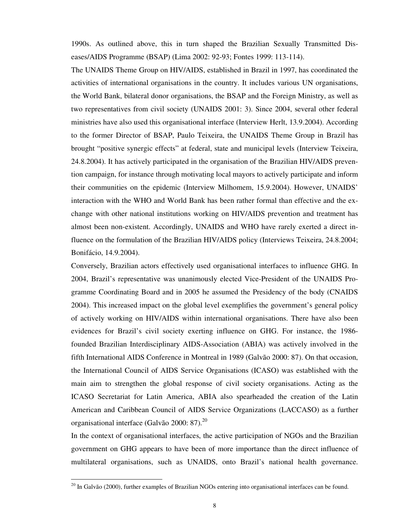1990s. As outlined above, this in turn shaped the Brazilian Sexually Transmitted Diseases/AIDS Programme (BSAP) (Lima 2002: 92-93; Fontes 1999: 113-114).

The UNAIDS Theme Group on HIV/AIDS, established in Brazil in 1997, has coordinated the activities of international organisations in the country. It includes various UN organisations, the World Bank, bilateral donor organisations, the BSAP and the Foreign Ministry, as well as two representatives from civil society (UNAIDS 2001: 3). Since 2004, several other federal ministries have also used this organisational interface (Interview Herlt, 13.9.2004). According to the former Director of BSAP, Paulo Teixeira, the UNAIDS Theme Group in Brazil has brought "positive synergic effects" at federal, state and municipal levels (Interview Teixeira, 24.8.2004). It has actively participated in the organisation of the Brazilian HIV/AIDS prevention campaign, for instance through motivating local mayors to actively participate and inform their communities on the epidemic (Interview Milhomem, 15.9.2004). However, UNAIDS' interaction with the WHO and World Bank has been rather formal than effective and the exchange with other national institutions working on HIV/AIDS prevention and treatment has almost been non-existent. Accordingly, UNAIDS and WHO have rarely exerted a direct influence on the formulation of the Brazilian HIV/AIDS policy (Interviews Teixeira, 24.8.2004; Bonifácio, 14.9.2004).

Conversely, Brazilian actors effectively used organisational interfaces to influence GHG. In 2004, Brazil's representative was unanimously elected Vice-President of the UNAIDS Programme Coordinating Board and in 2005 he assumed the Presidency of the body (CNAIDS 2004). This increased impact on the global level exemplifies the government's general policy of actively working on HIV/AIDS within international organisations. There have also been evidences for Brazil's civil society exerting influence on GHG. For instance, the 1986 founded Brazilian Interdisciplinary AIDS-Association (ABIA) was actively involved in the fifth International AIDS Conference in Montreal in 1989 (Galvão 2000: 87). On that occasion, the International Council of AIDS Service Organisations (ICASO) was established with the main aim to strengthen the global response of civil society organisations. Acting as the ICASO Secretariat for Latin America, ABIA also spearheaded the creation of the Latin American and Caribbean Council of AIDS Service Organizations (LACCASO) as a further organisational interface (Galvão 2000: 87). $^{20}$ 

In the context of organisational interfaces, the active participation of NGOs and the Brazilian government on GHG appears to have been of more importance than the direct influence of multilateral organisations, such as UNAIDS, onto Brazil's national health governance.

<sup>&</sup>lt;sup>20</sup> In Galvão (2000), further examples of Brazilian NGOs entering into organisational interfaces can be found.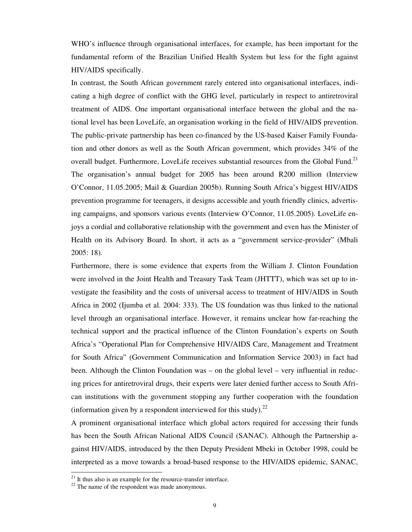WHO's influence through organisational interfaces, for example, has been important for the fundamental reform of the Brazilian Unified Health System but less for the fight against HIV/AIDS specifically.

In contrast, the South African government rarely entered into organisational interfaces, indicating a high degree of conflict with the GHG level, particularly in respect to antiretroviral treatment of AIDS. One important organisational interface between the global and the national level has been LoveLife, an organisation working in the field of HIV/AIDS prevention. The public-private partnership has been co-financed by the US-based Kaiser Family Foundation and other donors as well as the South African government, which provides 34% of the overall budget. Furthermore, LoveLife receives substantial resources from the Global Fund.<sup>21</sup> The organisation's annual budget for 2005 has been around R200 million (Interview O'Connor, 11.05.2005; Mail & Guardian 2005b). Running South Africa's biggest HIV/AIDS prevention programme for teenagers, it designs accessible and youth friendly clinics, advertising campaigns, and sponsors various events (Interview O'Connor, 11.05.2005). LoveLife enjoys a cordial and collaborative relationship with the government and even has the Minister of Health on its Advisory Board. In short, it acts as a "government service-provider" (Mbali 2005: 18).

Furthermore, there is some evidence that experts from the William J. Clinton Foundation were involved in the Joint Health and Treasury Task Team (JHTTT), which was set up to investigate the feasibility and the costs of universal access to treatment of HIV/AIDS in South Africa in 2002 (Ijumba et al. 2004: 333). The US foundation was thus linked to the national level through an organisational interface. However, it remains unclear how far-reaching the technical support and the practical influence of the Clinton Foundation's experts on South Africa's "Operational Plan for Comprehensive HIV/AIDS Care, Management and Treatment for South Africa" (Government Communication and Information Service 2003) in fact had been. Although the Clinton Foundation was – on the global level – very influential in reducing prices for antiretroviral drugs, their experts were later denied further access to South African institutions with the government stopping any further cooperation with the foundation (information given by a respondent interviewed for this study). $^{22}$ 

A prominent organisational interface which global actors required for accessing their funds has been the South African National AIDS Council (SANAC). Although the Partnership against HIV/AIDS, introduced by the then Deputy President Mbeki in October 1998, could be interpreted as a move towards a broad-based response to the HIV/AIDS epidemic, SANAC,

 $21$  It thus also is an example for the resource-transfer interface.

 $22$  The name of the respondent was made anonymous.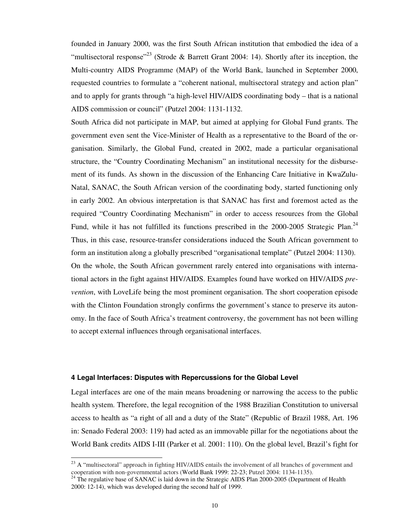founded in January 2000, was the first South African institution that embodied the idea of a "multisectoral response"<sup>23</sup> (Strode & Barrett Grant 2004: 14). Shortly after its inception, the Multi-country AIDS Programme (MAP) of the World Bank, launched in September 2000, requested countries to formulate a "coherent national, multisectoral strategy and action plan" and to apply for grants through "a high-level HIV/AIDS coordinating body – that is a national AIDS commission or council" (Putzel 2004: 1131-1132.

South Africa did not participate in MAP, but aimed at applying for Global Fund grants. The government even sent the Vice-Minister of Health as a representative to the Board of the organisation. Similarly, the Global Fund, created in 2002, made a particular organisational structure, the "Country Coordinating Mechanism" an institutional necessity for the disbursement of its funds. As shown in the discussion of the Enhancing Care Initiative in KwaZulu-Natal, SANAC, the South African version of the coordinating body, started functioning only in early 2002. An obvious interpretation is that SANAC has first and foremost acted as the required "Country Coordinating Mechanism" in order to access resources from the Global Fund, while it has not fulfilled its functions prescribed in the  $2000-2005$  Strategic Plan.<sup>24</sup> Thus, in this case, resource-transfer considerations induced the South African government to form an institution along a globally prescribed "organisational template" (Putzel 2004: 1130). On the whole, the South African government rarely entered into organisations with international actors in the fight against HIV/AIDS. Examples found have worked on HIV/AIDS *prevention*, with LoveLife being the most prominent organisation. The short cooperation episode with the Clinton Foundation strongly confirms the government's stance to preserve its autonomy. In the face of South Africa's treatment controversy, the government has not been willing to accept external influences through organisational interfaces.

#### **4 Legal Interfaces: Disputes with Repercussions for the Global Level**

 $\overline{a}$ 

Legal interfaces are one of the main means broadening or narrowing the access to the public health system. Therefore, the legal recognition of the 1988 Brazilian Constitution to universal access to health as "a right of all and a duty of the State" (Republic of Brazil 1988, Art. 196 in: Senado Federal 2003: 119) had acted as an immovable pillar for the negotiations about the World Bank credits AIDS I-III (Parker et al. 2001: 110). On the global level, Brazil's fight for

 $^{23}$  A "multisectoral" approach in fighting HIV/AIDS entails the involvement of all branches of government and cooperation with non-governmental actors (World Bank 1999: 22-23; Putzel 2004: 1134-1135).

 $^{24}$  The regulative base of SANAC is laid down in the Strategic AIDS Plan 2000-2005 (Department of Health 2000: 12-14), which was developed during the second half of 1999.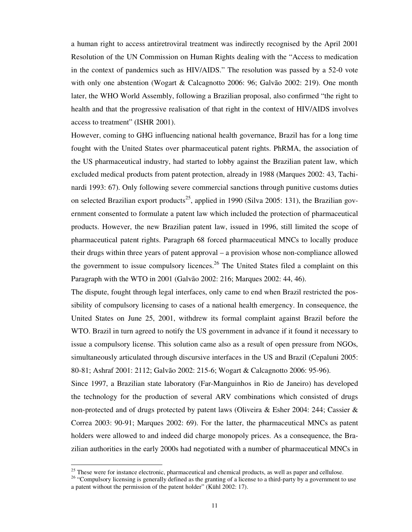a human right to access antiretroviral treatment was indirectly recognised by the April 2001 Resolution of the UN Commission on Human Rights dealing with the "Access to medication in the context of pandemics such as HIV/AIDS." The resolution was passed by a 52-0 vote with only one abstention (Wogart & Calcagnotto 2006: 96; Galvão 2002: 219). One month later, the WHO World Assembly, following a Brazilian proposal, also confirmed "the right to health and that the progressive realisation of that right in the context of HIV/AIDS involves access to treatment" (ISHR 2001).

However, coming to GHG influencing national health governance, Brazil has for a long time fought with the United States over pharmaceutical patent rights. PhRMA, the association of the US pharmaceutical industry, had started to lobby against the Brazilian patent law, which excluded medical products from patent protection, already in 1988 (Marques 2002: 43, Tachinardi 1993: 67). Only following severe commercial sanctions through punitive customs duties on selected Brazilian export products<sup>25</sup>, applied in 1990 (Silva 2005: 131), the Brazilian government consented to formulate a patent law which included the protection of pharmaceutical products. However, the new Brazilian patent law, issued in 1996, still limited the scope of pharmaceutical patent rights. Paragraph 68 forced pharmaceutical MNCs to locally produce their drugs within three years of patent approval – a provision whose non-compliance allowed the government to issue compulsory licences.<sup>26</sup> The United States filed a complaint on this Paragraph with the WTO in 2001 (Galvão 2002: 216; Marques 2002: 44, 46).

The dispute, fought through legal interfaces, only came to end when Brazil restricted the possibility of compulsory licensing to cases of a national health emergency. In consequence, the United States on June 25, 2001, withdrew its formal complaint against Brazil before the WTO. Brazil in turn agreed to notify the US government in advance if it found it necessary to issue a compulsory license. This solution came also as a result of open pressure from NGOs, simultaneously articulated through discursive interfaces in the US and Brazil (Cepaluni 2005: 80-81; Ashraf 2001: 2112; Galvão 2002: 215-6; Wogart & Calcagnotto 2006: 95-96).

Since 1997, a Brazilian state laboratory (Far-Manguinhos in Rio de Janeiro) has developed the technology for the production of several ARV combinations which consisted of drugs non-protected and of drugs protected by patent laws (Oliveira & Esher 2004: 244; Cassier & Correa 2003: 90-91; Marques 2002: 69). For the latter, the pharmaceutical MNCs as patent holders were allowed to and indeed did charge monopoly prices. As a consequence, the Brazilian authorities in the early 2000s had negotiated with a number of pharmaceutical MNCs in

 $25$  These were for instance electronic, pharmaceutical and chemical products, as well as paper and cellulose.

<sup>&</sup>lt;sup>26</sup> "Compulsory licensing is generally defined as the granting of a license to a third-party by a government to use a patent without the permission of the patent holder" (Kühl 2002: 17).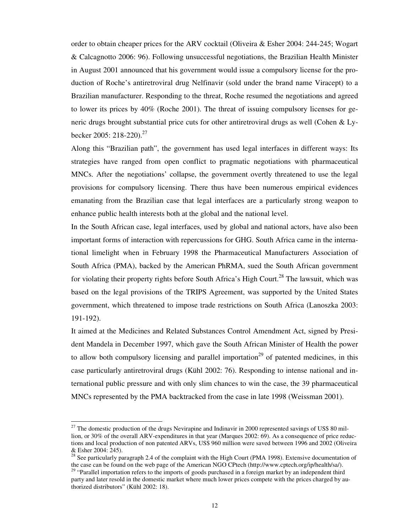order to obtain cheaper prices for the ARV cocktail (Oliveira & Esher 2004: 244-245; Wogart & Calcagnotto 2006: 96). Following unsuccessful negotiations, the Brazilian Health Minister in August 2001 announced that his government would issue a compulsory license for the production of Roche's antiretroviral drug Nelfinavir (sold under the brand name Viracept) to a Brazilian manufacturer. Responding to the threat, Roche resumed the negotiations and agreed to lower its prices by 40% (Roche 2001). The threat of issuing compulsory licenses for generic drugs brought substantial price cuts for other antiretroviral drugs as well (Cohen & Lybecker 2005: 218-220).<sup>27</sup>

Along this "Brazilian path", the government has used legal interfaces in different ways: Its strategies have ranged from open conflict to pragmatic negotiations with pharmaceutical MNCs. After the negotiations' collapse, the government overtly threatened to use the legal provisions for compulsory licensing. There thus have been numerous empirical evidences emanating from the Brazilian case that legal interfaces are a particularly strong weapon to enhance public health interests both at the global and the national level.

In the South African case, legal interfaces, used by global and national actors, have also been important forms of interaction with repercussions for GHG. South Africa came in the international limelight when in February 1998 the Pharmaceutical Manufacturers Association of South Africa (PMA), backed by the American PhRMA, sued the South African government for violating their property rights before South Africa's High Court.<sup>28</sup> The lawsuit, which was based on the legal provisions of the TRIPS Agreement, was supported by the United States government, which threatened to impose trade restrictions on South Africa (Lanoszka 2003: 191-192).

It aimed at the Medicines and Related Substances Control Amendment Act, signed by President Mandela in December 1997, which gave the South African Minister of Health the power to allow both compulsory licensing and parallel importation<sup>29</sup> of patented medicines, in this case particularly antiretroviral drugs (Kühl 2002: 76). Responding to intense national and international public pressure and with only slim chances to win the case, the 39 pharmaceutical MNCs represented by the PMA backtracked from the case in late 1998 (Weissman 2001).

 $^{27}$  The domestic production of the drugs Nevirapine and Indinavir in 2000 represented savings of US\$ 80 million, or 30% of the overall ARV-expenditures in that year (Marques 2002: 69). As a consequence of price reductions and local production of non patented ARVs, US\$ 960 million were saved between 1996 and 2002 (Oliveira & Esher 2004: 245).

<sup>&</sup>lt;sup>28</sup> See particularly paragraph 2.4 of the complaint with the High Court (PMA 1998). Extensive documentation of the case can be found on the web page of the American NGO CPtech (http://www.cptech.org/ip/health/sa/).

<sup>&</sup>lt;sup>29</sup> "Parallel importation refers to the imports of goods purchased in a foreign market by an independent third party and later resold in the domestic market where much lower prices compete with the prices charged by authorized distributors" (Kühl 2002: 18).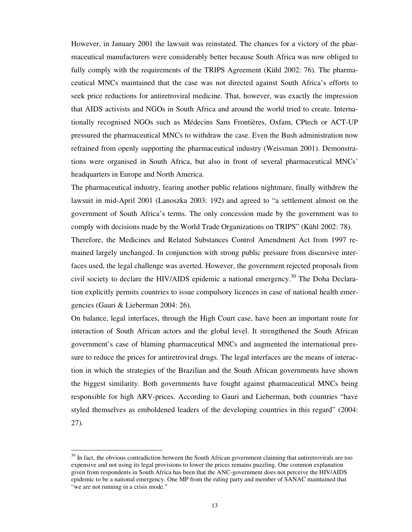However, in January 2001 the lawsuit was reinstated. The chances for a victory of the pharmaceutical manufacturers were considerably better because South Africa was now obliged to fully comply with the requirements of the TRIPS Agreement (Kühl 2002: 76). The pharmaceutical MNCs maintained that the case was not directed against South Africa's efforts to seek price reductions for antiretroviral medicine. That, however, was exactly the impression that AIDS activists and NGOs in South Africa and around the world tried to create. Internationally recognised NGOs such as Médecins Sans Frontières, Oxfam, CPtech or ACT-UP pressured the pharmaceutical MNCs to withdraw the case. Even the Bush administration now refrained from openly supporting the pharmaceutical industry (Weissman 2001). Demonstrations were organised in South Africa, but also in front of several pharmaceutical MNCs' headquarters in Europe and North America.

The pharmaceutical industry, fearing another public relations nightmare, finally withdrew the lawsuit in mid-April 2001 (Lanoszka 2003: 192) and agreed to "a settlement almost on the government of South Africa's terms. The only concession made by the government was to comply with decisions made by the World Trade Organizations on TRIPS" (Kühl 2002: 78). Therefore, the Medicines and Related Substances Control Amendment Act from 1997 remained largely unchanged. In conjunction with strong public pressure from discursive inter-

faces used, the legal challenge was averted. However, the government rejected proposals from civil society to declare the HIV/AIDS epidemic a national emergency. <sup>30</sup> The Doha Declaration explicitly permits countries to issue compulsory licences in case of national health emergencies (Gauri & Lieberman 2004: 26).

On balance, legal interfaces, through the High Court case, have been an important route for interaction of South African actors and the global level. It strengthened the South African government's case of blaming pharmaceutical MNCs and augmented the international pressure to reduce the prices for antiretroviral drugs. The legal interfaces are the means of interaction in which the strategies of the Brazilian and the South African governments have shown the biggest similarity. Both governments have fought against pharmaceutical MNCs being responsible for high ARV-prices. According to Gauri and Lieberman, both countries "have styled themselves as emboldened leaders of the developing countries in this regard" (2004: 27).

 $30$  In fact, the obvious contradiction between the South African government claiming that antiretrovirals are too expensive and not using its legal provisions to lower the prices remains puzzling. One common explanation given from respondents in South Africa has been that the ANC-government does not perceive the HIV/AIDS epidemic to be a national emergency. One MP from the ruling party and member of SANAC maintained that "we are not running in a crisis mode."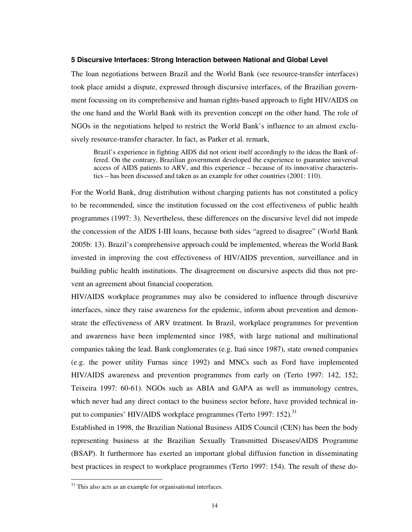#### **5 Discursive Interfaces: Strong Interaction between National and Global Level**

The loan negotiations between Brazil and the World Bank (see resource-transfer interfaces) took place amidst a dispute, expressed through discursive interfaces, of the Brazilian government focussing on its comprehensive and human rights-based approach to fight HIV/AIDS on the one hand and the World Bank with its prevention concept on the other hand. The role of NGOs in the negotiations helped to restrict the World Bank's influence to an almost exclusively resource-transfer character. In fact, as Parker et al. remark,

Brazil's experience in fighting AIDS did not orient itself accordingly to the ideas the Bank offered. On the contrary, Brazilian government developed the experience to guarantee universal access of AIDS patients to ARV, and this experience – because of its innovative characteristics – has been discussed and taken as an example for other countries (2001: 110).

For the World Bank, drug distribution without charging patients has not constituted a policy to be recommended, since the institution focussed on the cost effectiveness of public health programmes (1997: 3). Nevertheless, these differences on the discursive level did not impede the concession of the AIDS I-III loans, because both sides "agreed to disagree" (World Bank 2005b: 13). Brazil's comprehensive approach could be implemented, whereas the World Bank invested in improving the cost effectiveness of HIV/AIDS prevention, surveillance and in building public health institutions. The disagreement on discursive aspects did thus not prevent an agreement about financial cooperation.

HIV/AIDS workplace programmes may also be considered to influence through discursive interfaces, since they raise awareness for the epidemic, inform about prevention and demonstrate the effectiveness of ARV treatment. In Brazil, workplace programmes for prevention and awareness have been implemented since 1985, with large national and multinational companies taking the lead. Bank conglomerates (e.g. Itaú since 1987), state owned companies (e.g. the power utility Furnas since 1992) and MNCs such as Ford have implemented HIV/AIDS awareness and prevention programmes from early on (Terto 1997: 142, 152; Teixeira 1997: 60-61). NGOs such as ABIA and GAPA as well as immunology centres, which never had any direct contact to the business sector before, have provided technical input to companies' HIV/AIDS workplace programmes (Terto 1997: 152).<sup>31</sup>

Established in 1998, the Brazilian National Business AIDS Council (CEN) has been the body representing business at the Brazilian Sexually Transmitted Diseases/AIDS Programme (BSAP). It furthermore has exerted an important global diffusion function in disseminating best practices in respect to workplace programmes (Terto 1997: 154). The result of these do-

 $31$  This also acts as an example for organisational interfaces.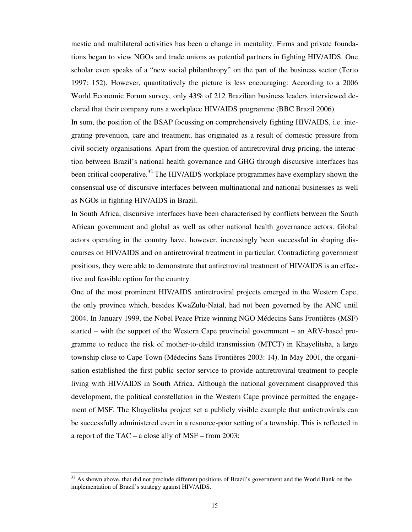mestic and multilateral activities has been a change in mentality. Firms and private foundations began to view NGOs and trade unions as potential partners in fighting HIV/AIDS. One scholar even speaks of a "new social philanthropy" on the part of the business sector (Terto 1997: 152). However, quantitatively the picture is less encouraging: According to a 2006 World Economic Forum survey, only 43% of 212 Brazilian business leaders interviewed declared that their company runs a workplace HIV/AIDS programme (BBC Brazil 2006).

In sum, the position of the BSAP focussing on comprehensively fighting HIV/AIDS, i.e. integrating prevention, care and treatment, has originated as a result of domestic pressure from civil society organisations. Apart from the question of antiretroviral drug pricing, the interaction between Brazil's national health governance and GHG through discursive interfaces has been critical cooperative.<sup>32</sup> The HIV/AIDS workplace programmes have exemplary shown the consensual use of discursive interfaces between multinational and national businesses as well as NGOs in fighting HIV/AIDS in Brazil.

In South Africa, discursive interfaces have been characterised by conflicts between the South African government and global as well as other national health governance actors. Global actors operating in the country have, however, increasingly been successful in shaping discourses on HIV/AIDS and on antiretroviral treatment in particular. Contradicting government positions, they were able to demonstrate that antiretroviral treatment of HIV/AIDS is an effective and feasible option for the country.

One of the most prominent HIV/AIDS antiretroviral projects emerged in the Western Cape, the only province which, besides KwaZulu-Natal, had not been governed by the ANC until 2004. In January 1999, the Nobel Peace Prize winning NGO Médecins Sans Frontières (MSF) started – with the support of the Western Cape provincial government – an ARV-based programme to reduce the risk of mother-to-child transmission (MTCT) in Khayelitsha, a large township close to Cape Town (Médecins Sans Frontières 2003: 14). In May 2001, the organisation established the first public sector service to provide antiretroviral treatment to people living with HIV/AIDS in South Africa. Although the national government disapproved this development, the political constellation in the Western Cape province permitted the engagement of MSF. The Khayelitsha project set a publicly visible example that antiretrovirals can be successfully administered even in a resource-poor setting of a township. This is reflected in a report of the TAC – a close ally of MSF – from 2003:

 $32$  As shown above, that did not preclude different positions of Brazil's government and the World Bank on the implementation of Brazil's strategy against HIV/AIDS.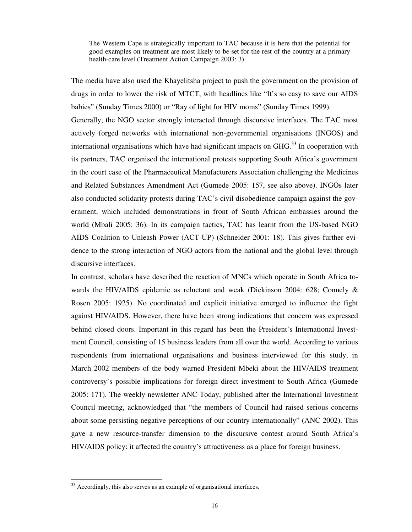The Western Cape is strategically important to TAC because it is here that the potential for good examples on treatment are most likely to be set for the rest of the country at a primary health-care level (Treatment Action Campaign 2003: 3).

The media have also used the Khayelitsha project to push the government on the provision of drugs in order to lower the risk of MTCT, with headlines like "It's so easy to save our AIDS babies" (Sunday Times 2000) or "Ray of light for HIV moms" (Sunday Times 1999). Generally, the NGO sector strongly interacted through discursive interfaces. The TAC most actively forged networks with international non-governmental organisations (INGOS) and international organisations which have had significant impacts on GHG.<sup>33</sup> In cooperation with its partners, TAC organised the international protests supporting South Africa's government in the court case of the Pharmaceutical Manufacturers Association challenging the Medicines and Related Substances Amendment Act (Gumede 2005: 157, see also above). INGOs later also conducted solidarity protests during TAC's civil disobedience campaign against the government, which included demonstrations in front of South African embassies around the world (Mbali 2005: 36). In its campaign tactics, TAC has learnt from the US-based NGO AIDS Coalition to Unleash Power (ACT-UP) (Schneider 2001: 18). This gives further evidence to the strong interaction of NGO actors from the national and the global level through discursive interfaces.

In contrast, scholars have described the reaction of MNCs which operate in South Africa towards the HIV/AIDS epidemic as reluctant and weak (Dickinson 2004: 628; Connely & Rosen 2005: 1925). No coordinated and explicit initiative emerged to influence the fight against HIV/AIDS. However, there have been strong indications that concern was expressed behind closed doors. Important in this regard has been the President's International Investment Council, consisting of 15 business leaders from all over the world. According to various respondents from international organisations and business interviewed for this study, in March 2002 members of the body warned President Mbeki about the HIV/AIDS treatment controversy's possible implications for foreign direct investment to South Africa (Gumede 2005: 171). The weekly newsletter ANC Today, published after the International Investment Council meeting, acknowledged that "the members of Council had raised serious concerns about some persisting negative perceptions of our country internationally" (ANC 2002). This gave a new resource-transfer dimension to the discursive contest around South Africa's HIV/AIDS policy: it affected the country's attractiveness as a place for foreign business.

 $33$  Accordingly, this also serves as an example of organisational interfaces.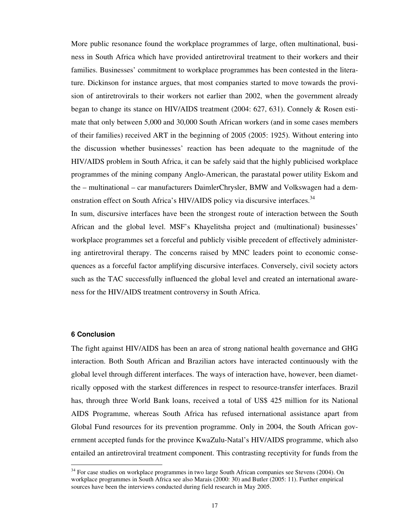More public resonance found the workplace programmes of large, often multinational, business in South Africa which have provided antiretroviral treatment to their workers and their families. Businesses' commitment to workplace programmes has been contested in the literature. Dickinson for instance argues, that most companies started to move towards the provision of antiretrovirals to their workers not earlier than 2002, when the government already began to change its stance on HIV/AIDS treatment (2004: 627, 631). Connely & Rosen estimate that only between 5,000 and 30,000 South African workers (and in some cases members of their families) received ART in the beginning of 2005 (2005: 1925). Without entering into the discussion whether businesses' reaction has been adequate to the magnitude of the HIV/AIDS problem in South Africa, it can be safely said that the highly publicised workplace programmes of the mining company Anglo-American, the parastatal power utility Eskom and the – multinational – car manufacturers DaimlerChrysler, BMW and Volkswagen had a demonstration effect on South Africa's HIV/AIDS policy via discursive interfaces.<sup>34</sup>

In sum, discursive interfaces have been the strongest route of interaction between the South African and the global level. MSF's Khayelitsha project and (multinational) businesses' workplace programmes set a forceful and publicly visible precedent of effectively administering antiretroviral therapy. The concerns raised by MNC leaders point to economic consequences as a forceful factor amplifying discursive interfaces. Conversely, civil society actors such as the TAC successfully influenced the global level and created an international awareness for the HIV/AIDS treatment controversy in South Africa.

### **6 Conclusion**

 $\overline{a}$ 

The fight against HIV/AIDS has been an area of strong national health governance and GHG interaction. Both South African and Brazilian actors have interacted continuously with the global level through different interfaces. The ways of interaction have, however, been diametrically opposed with the starkest differences in respect to resource-transfer interfaces. Brazil has, through three World Bank loans, received a total of US\$ 425 million for its National AIDS Programme, whereas South Africa has refused international assistance apart from Global Fund resources for its prevention programme. Only in 2004, the South African government accepted funds for the province KwaZulu-Natal's HIV/AIDS programme, which also entailed an antiretroviral treatment component. This contrasting receptivity for funds from the

<sup>&</sup>lt;sup>34</sup> For case studies on workplace programmes in two large South African companies see Stevens (2004). On workplace programmes in South Africa see also Marais (2000: 30) and Butler (2005: 11). Further empirical sources have been the interviews conducted during field research in May 2005.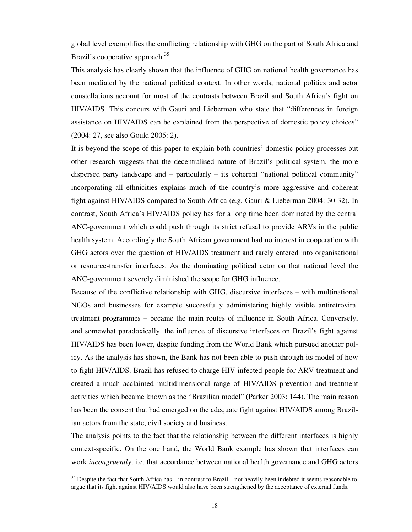global level exemplifies the conflicting relationship with GHG on the part of South Africa and Brazil's cooperative approach.<sup>35</sup>

This analysis has clearly shown that the influence of GHG on national health governance has been mediated by the national political context. In other words, national politics and actor constellations account for most of the contrasts between Brazil and South Africa's fight on HIV/AIDS. This concurs with Gauri and Lieberman who state that "differences in foreign assistance on HIV/AIDS can be explained from the perspective of domestic policy choices" (2004: 27, see also Gould 2005: 2).

It is beyond the scope of this paper to explain both countries' domestic policy processes but other research suggests that the decentralised nature of Brazil's political system, the more dispersed party landscape and – particularly – its coherent "national political community" incorporating all ethnicities explains much of the country's more aggressive and coherent fight against HIV/AIDS compared to South Africa (e.g. Gauri & Lieberman 2004: 30-32). In contrast, South Africa's HIV/AIDS policy has for a long time been dominated by the central ANC-government which could push through its strict refusal to provide ARVs in the public health system. Accordingly the South African government had no interest in cooperation with GHG actors over the question of HIV/AIDS treatment and rarely entered into organisational or resource-transfer interfaces. As the dominating political actor on that national level the ANC-government severely diminished the scope for GHG influence.

Because of the conflictive relationship with GHG, discursive interfaces – with multinational NGOs and businesses for example successfully administering highly visible antiretroviral treatment programmes – became the main routes of influence in South Africa. Conversely, and somewhat paradoxically, the influence of discursive interfaces on Brazil's fight against HIV/AIDS has been lower, despite funding from the World Bank which pursued another policy. As the analysis has shown, the Bank has not been able to push through its model of how to fight HIV/AIDS. Brazil has refused to charge HIV-infected people for ARV treatment and created a much acclaimed multidimensional range of HIV/AIDS prevention and treatment activities which became known as the "Brazilian model" (Parker 2003: 144). The main reason has been the consent that had emerged on the adequate fight against HIV/AIDS among Brazilian actors from the state, civil society and business.

The analysis points to the fact that the relationship between the different interfaces is highly context-specific. On the one hand, the World Bank example has shown that interfaces can work *incongruently*, i.e. that accordance between national health governance and GHG actors

 $35$  Despite the fact that South Africa has – in contrast to Brazil – not heavily been indebted it seems reasonable to argue that its fight against HIV/AIDS would also have been strengthened by the acceptance of external funds.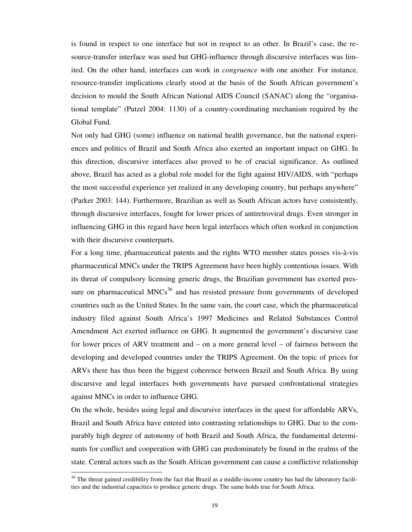is found in respect to one interface but not in respect to an other. In Brazil's case, the resource-transfer interface was used but GHG-influence through discursive interfaces was limited. On the other hand, interfaces can work in *congruence* with one another. For instance, resource-transfer implications clearly stood at the basis of the South African government's decision to mould the South African National AIDS Council (SANAC) along the "organisational template" (Putzel 2004: 1130) of a country-coordinating mechanism required by the Global Fund.

Not only had GHG (some) influence on national health governance, but the national experiences and politics of Brazil and South Africa also exerted an important impact on GHG. In this direction, discursive interfaces also proved to be of crucial significance. As outlined above, Brazil has acted as a global role model for the fight against HIV/AIDS, with "perhaps the most successful experience yet realized in any developing country, but perhaps anywhere" (Parker 2003: 144). Furthermore, Brazilian as well as South African actors have consistently, through discursive interfaces, fought for lower prices of antiretroviral drugs. Even stronger in influencing GHG in this regard have been legal interfaces which often worked in conjunction with their discursive counterparts.

For a long time, pharmaceutical patents and the rights WTO member states posses vis-à-vis pharmaceutical MNCs under the TRIPS Agreement have been highly contentious issues. With its threat of compulsory licensing generic drugs, the Brazilian government has exerted pressure on pharmaceutical  $MNCs<sup>36</sup>$  and has resisted pressure from governments of developed countries such as the United States. In the same vain, the court case, which the pharmaceutical industry filed against South Africa's 1997 Medicines and Related Substances Control Amendment Act exerted influence on GHG. It augmented the government's discursive case for lower prices of ARV treatment and – on a more general level – of fairness between the developing and developed countries under the TRIPS Agreement. On the topic of prices for ARVs there has thus been the biggest coherence between Brazil and South Africa. By using discursive and legal interfaces both governments have pursued confrontational strategies against MNCs in order to influence GHG.

On the whole, besides using legal and discursive interfaces in the quest for affordable ARVs, Brazil and South Africa have entered into contrasting relationships to GHG. Due to the comparably high degree of autonomy of both Brazil and South Africa, the fundamental determinants for conflict and cooperation with GHG can predominately be found in the realms of the state. Central actors such as the South African government can cause a conflictive relationship

 $36$  The threat gained credibility from the fact that Brazil as a middle-income country has had the laboratory facilities and the industrial capacities to produce generic drugs. The same holds true for South Africa.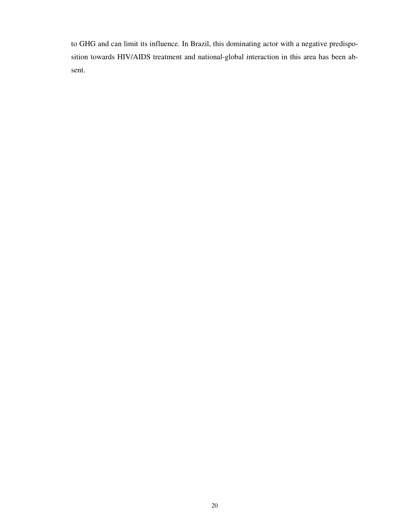to GHG and can limit its influence. In Brazil, this dominating actor with a negative predisposition towards HIV/AIDS treatment and national-global interaction in this area has been absent.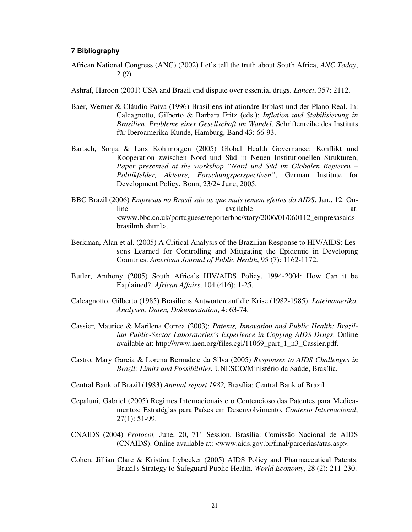#### **7 Bibliography**

African National Congress (ANC) (2002) Let's tell the truth about South Africa, *ANC Today*, 2 (9).

Ashraf, Haroon (2001) USA and Brazil end dispute over essential drugs. *Lancet*, 357: 2112.

- Baer, Werner & Cláudio Paiva (1996) Brasiliens inflationäre Erblast und der Plano Real. In: Calcagnotto, Gilberto & Barbara Fritz (eds.): *Inflation und Stabilisierung in Brasilien. Probleme einer Gesellschaft im Wandel*. Schriftenreihe des Instituts für Iberoamerika-Kunde, Hamburg, Band 43: 66-93.
- Bartsch, Sonja & Lars Kohlmorgen (2005) Global Health Governance: Konflikt und Kooperation zwischen Nord und Süd in Neuen Institutionellen Strukturen, *Paper presented at the workshop "Nord und Süd im Globalen Regieren – Politikfelder, Akteure, Forschungsperspectiven"*, German Institute for Development Policy, Bonn, 23/24 June, 2005.
- BBC Brazil (2006) *Empresas no Brasil são as que mais temem efeitos da AIDS*. Jan., 12. Online available at: <www.bbc.co.uk/portuguese/reporterbbc/story/2006/01/060112\_empresasaids brasilmb.shtml>.
- Berkman, Alan et al. (2005) A Critical Analysis of the Brazilian Response to HIV/AIDS: Lessons Learned for Controlling and Mitigating the Epidemic in Developing Countries. *American Journal of Public Health*, 95 (7): 1162-1172.
- Butler, Anthony (2005) South Africa's HIV/AIDS Policy, 1994-2004: How Can it be Explained?, *African Affairs*, 104 (416): 1-25.
- Calcagnotto, Gilberto (1985) Brasiliens Antworten auf die Krise (1982-1985), *Lateinamerika. Analysen, Daten, Dokumentation*, 4: 63-74.
- Cassier, Maurice & Marilena Correa (2003): *Patents, Innovation and Public Health: Brazilian Public-Sector Laboratories's Experience in Copying AIDS Drugs*. Online available at: http://www.iaen.org/files.cgi/11069\_part\_1\_n3\_Cassier.pdf.
- Castro, Mary Garcia & Lorena Bernadete da Silva (2005) *Responses to AIDS Challenges in Brazil: Limits and Possibilities.* UNESCO/Ministério da Saúde, Brasília.
- Central Bank of Brazil (1983) *Annual report 1982,* Brasília: Central Bank of Brazil.
- Cepaluni, Gabriel (2005) Regimes Internacionais e o Contencioso das Patentes para Medicamentos: Estratégias para Países em Desenvolvimento, *Contexto Internacional*, 27(1): 51-99.
- CNAIDS (2004) *Protocol*, June, 20, 71<sup>st</sup> Session. Brasília: Comissão Nacional de AIDS (CNAIDS). Online available at: <www.aids.gov.br/final/parcerias/atas.asp>.
- Cohen, Jillian Clare & Kristina Lybecker (2005) AIDS Policy and Pharmaceutical Patents: Brazil's Strategy to Safeguard Public Health. *World Economy*, 28 (2): 211-230.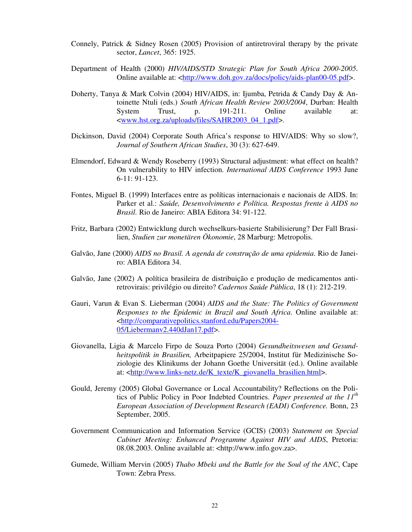- Connely, Patrick & Sidney Rosen (2005) Provision of antiretroviral therapy by the private sector, *Lancet*, 365: 1925.
- Department of Health (2000) *HIV/AIDS/STD Strategic Plan for South Africa 2000-2005*. Online available at: <http://www.doh.gov.za/docs/policy/aids-plan00-05.pdf>.
- Doherty, Tanya & Mark Colvin (2004) HIV/AIDS, in: Ijumba, Petrida & Candy Day & Antoinette Ntuli (eds.) *South African Health Review 2003/2004*, Durban: Health System Trust, p. 191-211. Online available at: <www.hst.org.za/uploads/files/SAHR2003\_04\_1.pdf>.
- Dickinson, David (2004) Corporate South Africa's response to HIV/AIDS: Why so slow?, *Journal of Southern African Studies*, 30 (3): 627-649.
- Elmendorf, Edward & Wendy Roseberry (1993) Structural adjustment: what effect on health? On vulnerability to HIV infection. *International AIDS Conference* 1993 June 6-11: 91-123.
- Fontes, Miguel B. (1999) Interfaces entre as políticas internacionais e nacionais de AIDS. In: Parker et al.: *Saúde, Desenvolvimento e Política. Respostas frente à AIDS no Brasil.* Rio de Janeiro: ABIA Editora 34: 91-122.
- Fritz, Barbara (2002) Entwicklung durch wechselkurs-basierte Stabilisierung? Der Fall Brasilien, *Studien zur monetären Ökonomie*, 28 Marburg: Metropolis.
- Galvão, Jane (2000) *AIDS no Brasil. A agenda de construção de uma epidemia*. Rio de Janeiro: ABIA Editora 34.
- Galvão, Jane (2002) A política brasileira de distribuição e produção de medicamentos antiretrovirais: privilégio ou direito? *Cadernos Saúde Pública*, 18 (1): 212-219.
- Gauri, Varun & Evan S. Lieberman (2004) *AIDS and the State: The Politics of Government Responses to the Epidemic in Brazil and South Africa*. Online available at: <http://comparativepolitics.stanford.edu/Papers2004- 05/Liebermanv2.440dJan17.pdf>.
- Giovanella, Ligia & Marcelo Firpo de Souza Porto (2004) *Gesundheitswesen und Gesundheitspolitik in Brasilien,* Arbeitpapiere 25/2004, Institut für Medizinische Soziologie des Klinikums der Johann Goethe Universität (ed.). Online available at: <http://www.links-netz.de/K\_texte/K\_giovanella\_brasilien.html>.
- Gould, Jeremy (2005) Global Governance or Local Accountability? Reflections on the Politics of Public Policy in Poor Indebted Countries. *Paper presented at the 11th European Association of Development Research (EADI) Conference.* Bonn, 23 September, 2005.
- Government Communication and Information Service (GCIS) (2003) *Statement on Special Cabinet Meeting: Enhanced Programme Against HIV and AIDS*, Pretoria: 08.08.2003. Online available at: <http://www.info.gov.za>.
- Gumede, William Mervin (2005) *Thabo Mbeki and the Battle for the Soul of the ANC*, Cape Town: Zebra Press.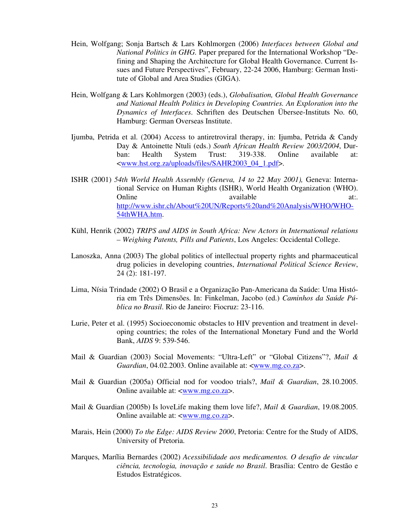- Hein, Wolfgang; Sonja Bartsch & Lars Kohlmorgen (2006) *Interfaces between Global and National Politics in GHG.* Paper prepared for the International Workshop "Defining and Shaping the Architecture for Global Health Governance. Current Issues and Future Perspectives", February, 22-24 2006, Hamburg: German Institute of Global and Area Studies (GIGA).
- Hein, Wolfgang & Lars Kohlmorgen (2003) (eds.), *Globalisation, Global Health Governance and National Health Politics in Developing Countries. An Exploration into the Dynamics of Interfaces*. Schriften des Deutschen Übersee-Instituts No. 60, Hamburg: German Overseas Institute.
- Ijumba, Petrida et al. (2004) Access to antiretroviral therapy, in: Ijumba, Petrida & Candy Day & Antoinette Ntuli (eds.) *South African Health Review 2003/2004*, Durban: Health System Trust: 319-338. Online available at: <www.hst.org.za/uploads/files/SAHR2003\_04\_1.pdf>.
- ISHR (2001) *54th World Health Assembly (Geneva, 14 to 22 May 2001),* Geneva: International Service on Human Rights (ISHR), World Health Organization (WHO). Online available at:. http://www.ishr.ch/About%20UN/Reports%20and%20Analysis/WHO/WHO-54thWHA.htm.
- Kühl, Henrik (2002) *TRIPS and AIDS in South Africa: New Actors in International relations – Weighing Patents, Pills and Patients*, Los Angeles: Occidental College.
- Lanoszka, Anna (2003) The global politics of intellectual property rights and pharmaceutical drug policies in developing countries, *International Political Science Review*, 24 (2): 181-197.
- Lima, Nísia Trindade (2002) O Brasil e a Organização Pan-Americana da Saúde: Uma História em Três Dimensões. In: Finkelman, Jacobo (ed.) *Caminhos da Saúde Pública no Brasil*. Rio de Janeiro: Fiocruz: 23-116.
- Lurie, Peter et al. (1995) Socioeconomic obstacles to HIV prevention and treatment in developing countries; the roles of the International Monetary Fund and the World Bank, *AIDS* 9: 539-546.
- Mail & Guardian (2003) Social Movements: "Ultra-Left" or "Global Citizens"?, *Mail & Guardian*, 04.02.2003. Online available at: <www.mg.co.za>.
- Mail & Guardian (2005a) Official nod for voodoo trials?, *Mail & Guardian*, 28.10.2005. Online available at: <www.mg.co.za>.
- Mail & Guardian (2005b) Is loveLife making them love life?, *Mail & Guardian*, 19.08.2005. Online available at: <www.mg.co.za>.
- Marais, Hein (2000) *To the Edge: AIDS Review 2000*, Pretoria: Centre for the Study of AIDS, University of Pretoria.
- Marques, Marília Bernardes (2002) *Acessibilidade aos medicamentos. O desafio de vincular ciência, tecnologia, inovação e saúde no Brasil*. Brasília: Centro de Gestão e Estudos Estratégicos.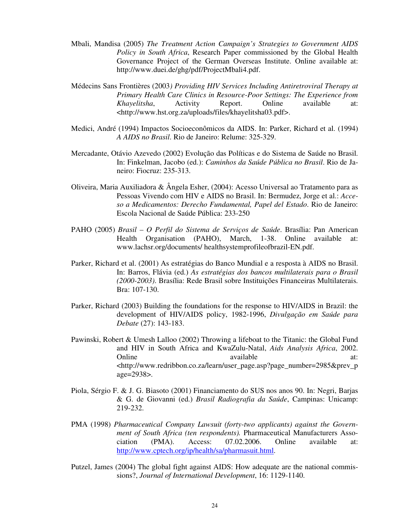- Mbali, Mandisa (2005) *The Treatment Action Campaign's Strategies to Government AIDS Policy in South Africa*, Research Paper commissioned by the Global Health Governance Project of the German Overseas Institute. Online available at: http://www.duei.de/ghg/pdf/ProjectMbali4.pdf.
- Médecins Sans Frontières (2003*) Providing HIV Services Including Antiretroviral Therapy at Primary Health Care Clinics in Resource-Poor Settings: The Experience from Khayelitsha*, Activity Report. Online available at: <http://www.hst.org.za/uploads/files/khayelitsha03.pdf>.
- Medici, André (1994) Impactos Socioeconômicos da AIDS. In: Parker, Richard et al. (1994) *A AIDS no Brasil*. Rio de Janeiro: Relume: 325-329.
- Mercadante, Otávio Azevedo (2002) Evolução das Políticas e do Sistema de Saúde no Brasil. In: Finkelman, Jacobo (ed.): *Caminhos da Saúde Pública no Brasil*. Rio de Janeiro: Fiocruz: 235-313.
- Oliveira, Maria Auxiliadora & Ângela Esher, (2004): Acesso Universal ao Tratamento para as Pessoas Vivendo com HIV e AIDS no Brasil. In: Bermudez, Jorge et al.: *Acceso a Medicamentos: Derecho Fundamental, Papel del Estado*. Rio de Janeiro: Escola Nacional de Saúde Pública: 233-250
- PAHO (2005) *Brasil O Perfil do Sistema de Serviços de Saúde*. Brasília: Pan American Health Organisation (PAHO), March, 1-38. Online available at: www.lachsr.org/documents/ healthsystemprofileofbrazil-EN.pdf.
- Parker, Richard et al. (2001) As estratégias do Banco Mundial e a resposta à AIDS no Brasil. In: Barros, Flávia (ed.) *As estratégias dos bancos multilaterais para o Brasil (2000-2003)*. Brasília: Rede Brasil sobre Instituições Financeiras Multilaterais. Bra: 107-130.
- Parker, Richard (2003) Building the foundations for the response to HIV/AIDS in Brazil: the development of HIV/AIDS policy, 1982-1996, *Divulgação em Saúde para Debate* (27): 143-183.
- Pawinski, Robert & Umesh Lalloo (2002) Throwing a lifeboat to the Titanic: the Global Fund and HIV in South Africa and KwaZulu-Natal, *Aids Analysis Africa*, 2002. Online available available at: <http://www.redribbon.co.za/learn/user\_page.asp?page\_number=2985&prev\_p age=2938>.
- Piola, Sérgio F. & J. G. Biasoto (2001) Financiamento do SUS nos anos 90. In: Negri, Barjas & G. de Giovanni (ed.) *Brasil Radiografia da Saúde*, Campinas: Unicamp: 219-232.
- PMA (1998) *Pharmaceutical Company Lawsuit (forty-two applicants) against the Government of South Africa (ten respondents).* Pharmaceutical Manufacturers Association (PMA). Access: 07.02.2006. Online available at: http://www.cptech.org/ip/health/sa/pharmasuit.html.
- Putzel, James (2004) The global fight against AIDS: How adequate are the national commissions?, *Journal of International Development*, 16: 1129-1140.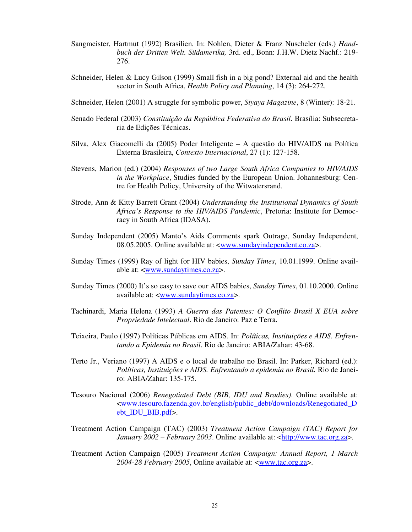- Sangmeister, Hartmut (1992) Brasilien. In: Nohlen, Dieter & Franz Nuscheler (eds.) *Handbuch der Dritten Welt. Südamerika,* 3rd. ed., Bonn: J.H.W. Dietz Nachf.: 219- 276.
- Schneider, Helen & Lucy Gilson (1999) Small fish in a big pond? External aid and the health sector in South Africa, *Health Policy and Planning*, 14 (3): 264-272.
- Schneider, Helen (2001) A struggle for symbolic power, *Siyaya Magazine*, 8 (Winter): 18-21.
- Senado Federal (2003) *Constituição da República Federativa do Brasil*. Brasília: Subsecretaria de Edições Técnicas.
- Silva, Alex Giacomelli da (2005) Poder Inteligente A questão do HIV/AIDS na Política Externa Brasileira, *Contexto Internacional*, 27 (1): 127-158.
- Stevens, Marion (ed.) (2004) *Responses of two Large South Africa Companies to HIV/AIDS in the Workplace*, Studies funded by the European Union. Johannesburg: Centre for Health Policy, University of the Witwatersrand.
- Strode, Ann & Kitty Barrett Grant (2004) *Understanding the Institutional Dynamics of South Africa's Response to the HIV/AIDS Pandemic*, Pretoria: Institute for Democracy in South Africa (IDASA).
- Sunday Independent (2005) Manto's Aids Comments spark Outrage, Sunday Independent, 08.05.2005. Online available at: <www.sundayindependent.co.za>.
- Sunday Times (1999) Ray of light for HIV babies, *Sunday Times*, 10.01.1999. Online available at: <www.sundaytimes.co.za>.
- Sunday Times (2000) It's so easy to save our AIDS babies, *Sunday Times*, 01.10.2000. Online available at: <www.sundaytimes.co.za>.
- Tachinardi, Maria Helena (1993) *A Guerra das Patentes: O Conflito Brasil X EUA sobre Propriedade Intelectual*. Rio de Janeiro: Paz e Terra.
- Teixeira, Paulo (1997) Políticas Públicas em AIDS. In: *Políticas, Instituições e AIDS. Enfrentando a Epidemia no Brasil*. Rio de Janeiro: ABIA/Zahar: 43-68.
- Terto Jr., Veriano (1997) A AIDS e o local de trabalho no Brasil. In: Parker, Richard (ed.): *Políticas, Instituições e AIDS. Enfrentando a epidemia no Brasil.* Rio de Janeiro: ABIA/Zahar: 135-175.
- Tesouro Nacional (2006) *Renegotiated Debt (BIB, IDU and Bradies)*. Online available at: <www.tesouro.fazenda.gov.br/english/public\_debt/downloads/Renegotiated\_D ebt\_IDU\_BIB.pdf>.
- Treatment Action Campaign (TAC) (2003) *Treatment Action Campaign (TAC) Report for January 2002 – February 2003*. Online available at: <http://www.tac.org.za>.
- Treatment Action Campaign (2005) *Treatment Action Campaign: Annual Report, 1 March 2004-28 February 2005*, Online available at: <www.tac.org.za>.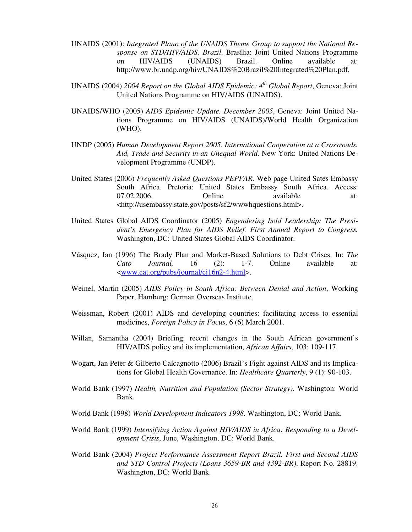- UNAIDS (2001): *Integrated Plano of the UNAIDS Theme Group to support the National Response on STD/HIV/AIDS. Brazil*. Brasília: Joint United Nations Programme on HIV/AIDS (UNAIDS) Brazil. Online available at: http://www.br.undp.org/hiv/UNAIDS%20Brazil%20Integrated%20Plan.pdf.
- UNAIDS (2004) *2004 Report on the Global AIDS Epidemic: 4th Global Report*, Geneva: Joint United Nations Programme on HIV/AIDS (UNAIDS).
- UNAIDS/WHO (2005) *AIDS Epidemic Update. December 2005*, Geneva: Joint United Nations Programme on HIV/AIDS (UNAIDS)/World Health Organization (WHO).
- UNDP (2005) *Human Development Report 2005. International Cooperation at a Crossroads. Aid, Trade and Security in an Unequal World*. New York: United Nations Development Programme (UNDP).
- United States (2006) *Frequently Asked Questions PEPFAR.* Web page United Sates Embassy South Africa. Pretoria: United States Embassy South Africa. Access: 07.02.2006. Online available at: <http://usembassy.state.gov/posts/sf2/wwwhquestions.html>.
- United States Global AIDS Coordinator (2005) *Engendering bold Leadership: The President's Emergency Plan for AIDS Relief. First Annual Report to Congress.* Washington, DC: United States Global AIDS Coordinator.
- Vásquez, Ian (1996) The Brady Plan and Market-Based Solutions to Debt Crises. In: *The Cato Journal,* 16 (2): 1-7. Online available at: <www.cat.org/pubs/journal/cj16n2-4.html>.
- Weinel, Martin (2005) *AIDS Policy in South Africa: Between Denial and Action*, Working Paper, Hamburg: German Overseas Institute.
- Weissman, Robert (2001) AIDS and developing countries: facilitating access to essential medicines, *Foreign Policy in Focus*, 6 (6) March 2001.
- Willan, Samantha (2004) Briefing: recent changes in the South African government's HIV/AIDS policy and its implementation, *African Affairs*, 103: 109-117.
- Wogart, Jan Peter & Gilberto Calcagnotto (2006) Brazil's Fight against AIDS and its Implications for Global Health Governance. In: *Healthcare Quarterly*, 9 (1): 90-103.
- World Bank (1997) *Health, Nutrition and Population (Sector Strategy)*. Washington: World Bank.
- World Bank (1998) *World Development Indicators 1998*. Washington, DC: World Bank.
- World Bank (1999) *Intensifying Action Against HIV/AIDS in Africa: Responding to a Development Crisis*, June, Washington, DC: World Bank.
- World Bank (2004) *Project Performance Assessment Report Brazil. First and Second AIDS and STD Control Projects (Loans 3659-BR and 4392-BR)*. Report No. 28819. Washington, DC: World Bank.